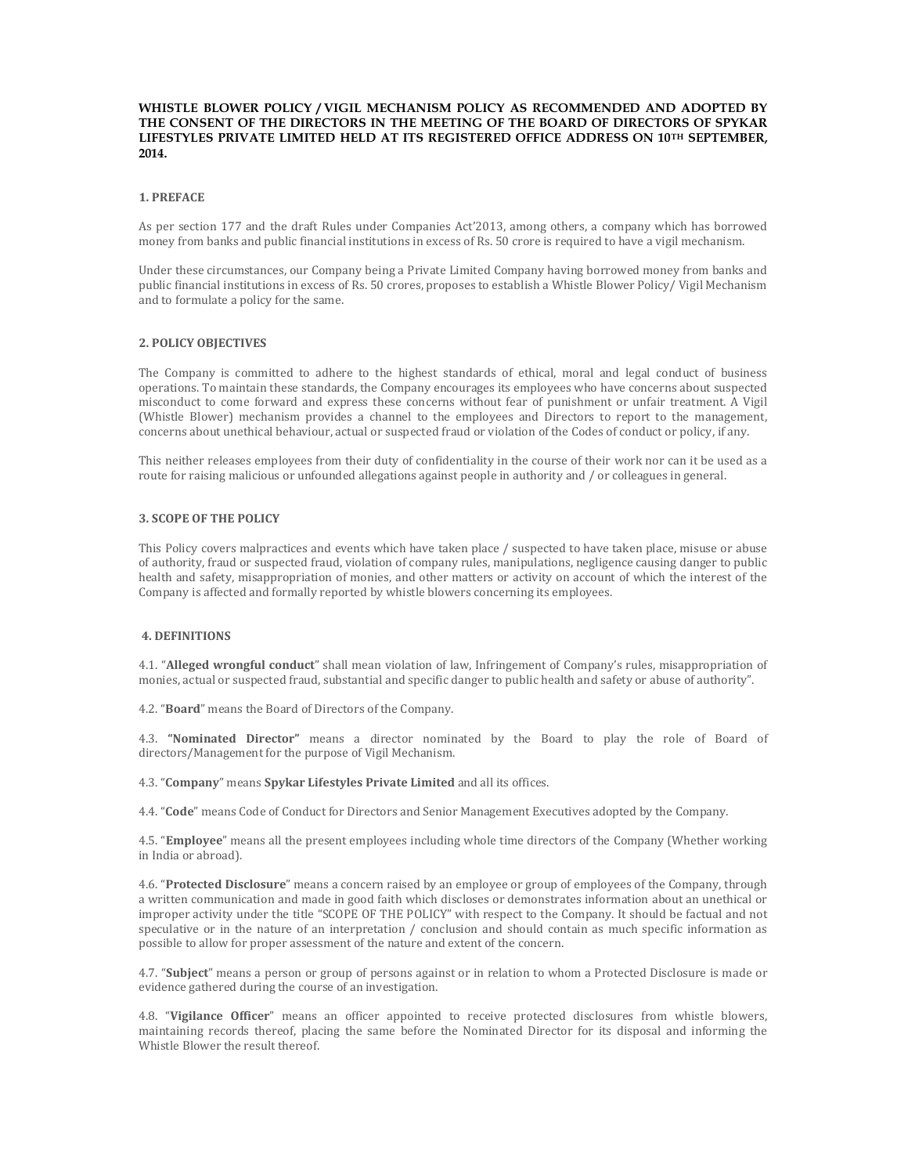## WHISTLE BLOWER POLICY / VIGIL MECHANISM POLICY AS RECOMMENDED AND ADOPTED BY THE CONSENT OF THE DIRECTORS IN THE MEETING OF THE BOARD OF DIRECTORS OF SPYKAR LIFESTYLES PRIVATE LIMITED HELD AT ITS REGISTERED OFFICE ADDRESS ON 10TH SEPTEMBER, 2014.

## 1. PREFACE

As per section 177 and the draft Rules under Companies Act'2013, among others, a company which has borrowed money from banks and public financial institutions in excess of Rs. 50 crore is required to have a vigil mechanism.

Under these circumstances, our Company being a Private Limited Company having borrowed money from banks and public financial institutions in excess of Rs. 50 crores, proposes to establish a Whistle Blower Policy/ Vigil Mechanism and to formulate a policy for the same.

# 2. POLICY OBJECTIVES

The Company is committed to adhere to the highest standards of ethical, moral and legal conduct of business operations. To maintain these standards, the Company encourages its employees who have concerns about suspected misconduct to come forward and express these concerns without fear of punishment or unfair treatment. A Vigil (Whistle Blower) mechanism provides a channel to the employees and Directors to report to the management, concerns about unethical behaviour, actual or suspected fraud or violation of the Codes of conduct or policy, if any.

This neither releases employees from their duty of confidentiality in the course of their work nor can it be used as a route for raising malicious or unfounded allegations against people in authority and / or colleagues in general.

## 3. SCOPE OF THE POLICY

This Policy covers malpractices and events which have taken place / suspected to have taken place, misuse or abuse of authority, fraud or suspected fraud, violation of company rules, manipulations, negligence causing danger to public health and safety, misappropriation of monies, and other matters or activity on account of which the interest of the Company is affected and formally reported by whistle blowers concerning its employees.

# 4. DEFINITIONS

4.1. "Alleged wrongful conduct" shall mean violation of law, Infringement of Company's rules, misappropriation of monies, actual or suspected fraud, substantial and specific danger to public health and safety or abuse of authority".

4.2. "Board" means the Board of Directors of the Company.

4.3. "Nominated Director" means a director nominated by the Board to play the role of Board of directors/Management for the purpose of Vigil Mechanism.

4.3. "Company" means Spykar Lifestyles Private Limited and all its offices.

4.4. "Code" means Code of Conduct for Directors and Senior Management Executives adopted by the Company.

4.5. "Employee" means all the present employees including whole time directors of the Company (Whether working in India or abroad).

4.6. "Protected Disclosure" means a concern raised by an employee or group of employees of the Company, through a written communication and made in good faith which discloses or demonstrates information about an unethical or improper activity under the title "SCOPE OF THE POLICY" with respect to the Company. It should be factual and not speculative or in the nature of an interpretation / conclusion and should contain as much specific information as possible to allow for proper assessment of the nature and extent of the concern.

4.7. "Subject" means a person or group of persons against or in relation to whom a Protected Disclosure is made or evidence gathered during the course of an investigation.

4.8. "Vigilance Officer" means an officer appointed to receive protected disclosures from whistle blowers, maintaining records thereof, placing the same before the Nominated Director for its disposal and informing the Whistle Blower the result thereof.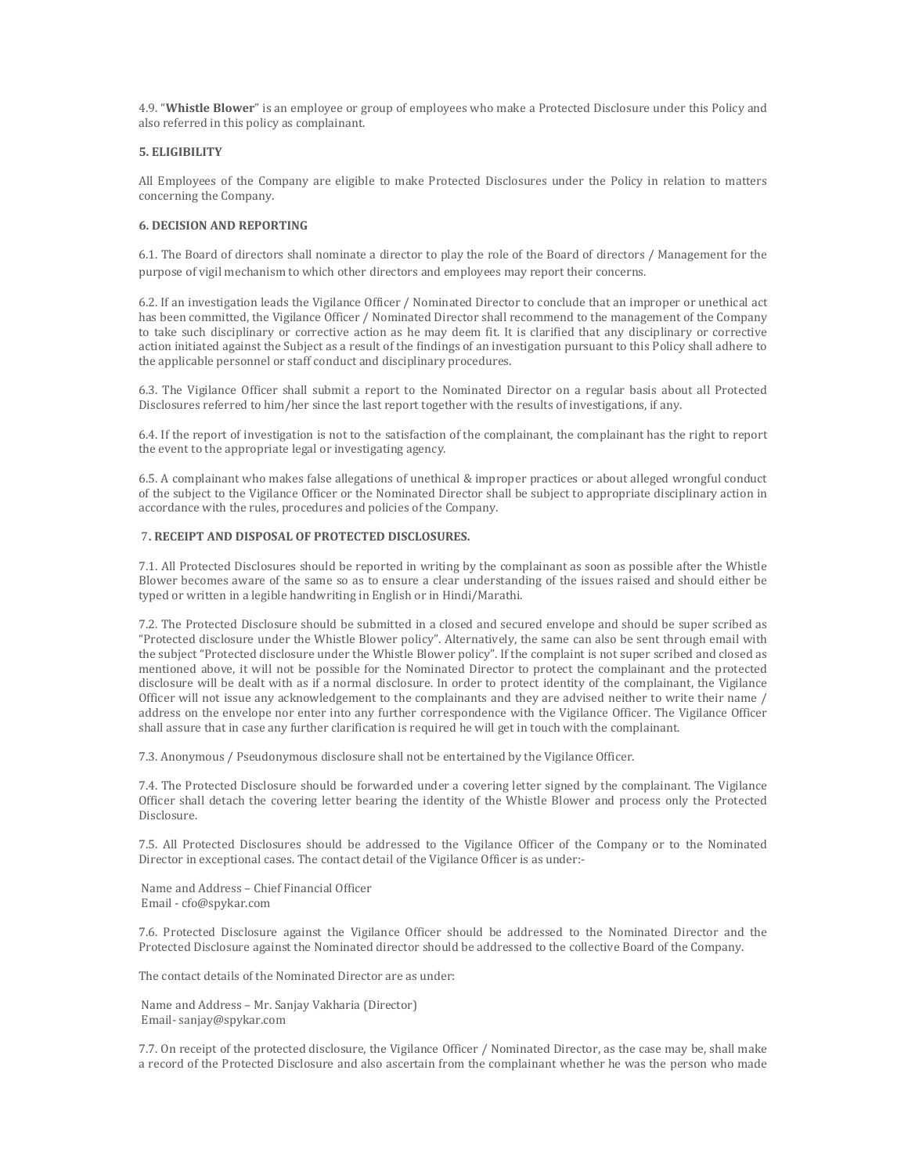4.9. "Whistle Blower" is an employee or group of employees who make a Protected Disclosure under this Policy and also referred in this policy as complainant.

### 5. ELIGIBILITY

All Employees of the Company are eligible to make Protected Disclosures under the Policy in relation to matters concerning the Company.

#### 6. DECISION AND REPORTING

6.1. The Board of directors shall nominate a director to play the role of the Board of directors / Management for the purpose of vigil mechanism to which other directors and employees may report their concerns.

6.2. If an investigation leads the Vigilance Officer / Nominated Director to conclude that an improper or unethical act has been committed, the Vigilance Officer / Nominated Director shall recommend to the management of the Company to take such disciplinary or corrective action as he may deem fit. It is clarified that any disciplinary or corrective action initiated against the Subject as a result of the findings of an investigation pursuant to this Policy shall adhere to the applicable personnel or staff conduct and disciplinary procedures.

6.3. The Vigilance Officer shall submit a report to the Nominated Director on a regular basis about all Protected Disclosures referred to him/her since the last report together with the results of investigations, if any.

6.4. If the report of investigation is not to the satisfaction of the complainant, the complainant has the right to report the event to the appropriate legal or investigating agency.

6.5. A complainant who makes false allegations of unethical & improper practices or about alleged wrongful conduct of the subject to the Vigilance Officer or the Nominated Director shall be subject to appropriate disciplinary action in accordance with the rules, procedures and policies of the Company.

### 7. RECEIPT AND DISPOSAL OF PROTECTED DISCLOSURES.

7.1. All Protected Disclosures should be reported in writing by the complainant as soon as possible after the Whistle Blower becomes aware of the same so as to ensure a clear understanding of the issues raised and should either be typed or written in a legible handwriting in English or in Hindi/Marathi.

7.2. The Protected Disclosure should be submitted in a closed and secured envelope and should be super scribed as "Protected disclosure under the Whistle Blower policy". Alternatively, the same can also be sent through email with the subject "Protected disclosure under the Whistle Blower policy". If the complaint is not super scribed and closed as mentioned above, it will not be possible for the Nominated Director to protect the complainant and the protected disclosure will be dealt with as if a normal disclosure. In order to protect identity of the complainant, the Vigilance Officer will not issue any acknowledgement to the complainants and they are advised neither to write their name / address on the envelope nor enter into any further correspondence with the Vigilance Officer. The Vigilance Officer shall assure that in case any further clarification is required he will get in touch with the complainant.

7.3. Anonymous / Pseudonymous disclosure shall not be entertained by the Vigilance Officer.

7.4. The Protected Disclosure should be forwarded under a covering letter signed by the complainant. The Vigilance Officer shall detach the covering letter bearing the identity of the Whistle Blower and process only the Protected Disclosure.

7.5. All Protected Disclosures should be addressed to the Vigilance Officer of the Company or to the Nominated Director in exceptional cases. The contact detail of the Vigilance Officer is as under:-

 Name and Address – Chief Financial Officer Email - cfo@spykar.com

7.6. Protected Disclosure against the Vigilance Officer should be addressed to the Nominated Director and the Protected Disclosure against the Nominated director should be addressed to the collective Board of the Company.

The contact details of the Nominated Director are as under:

 Name and Address – Mr. Sanjay Vakharia (Director) Email- sanjay@spykar.com

7.7. On receipt of the protected disclosure, the Vigilance Officer / Nominated Director, as the case may be, shall make a record of the Protected Disclosure and also ascertain from the complainant whether he was the person who made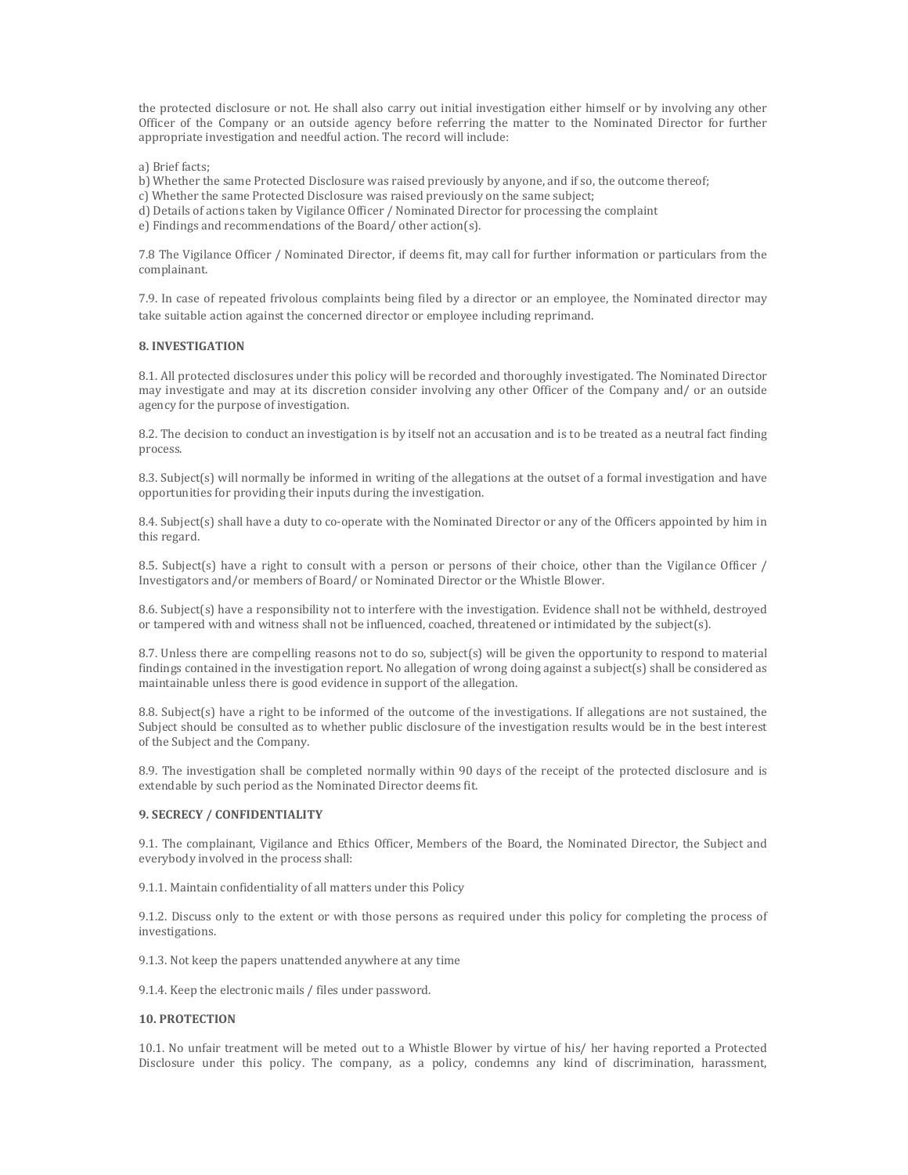the protected disclosure or not. He shall also carry out initial investigation either himself or by involving any other Officer of the Company or an outside agency before referring the matter to the Nominated Director for further appropriate investigation and needful action. The record will include:

a) Brief facts;

b) Whether the same Protected Disclosure was raised previously by anyone, and if so, the outcome thereof;

c) Whether the same Protected Disclosure was raised previously on the same subject;

d) Details of actions taken by Vigilance Officer / Nominated Director for processing the complaint

e) Findings and recommendations of the Board/ other action(s).

7.8 The Vigilance Officer / Nominated Director, if deems fit, may call for further information or particulars from the complainant.

7.9. In case of repeated frivolous complaints being filed by a director or an employee, the Nominated director may take suitable action against the concerned director or employee including reprimand.

### 8. INVESTIGATION

8.1. All protected disclosures under this policy will be recorded and thoroughly investigated. The Nominated Director may investigate and may at its discretion consider involving any other Officer of the Company and/ or an outside agency for the purpose of investigation.

8.2. The decision to conduct an investigation is by itself not an accusation and is to be treated as a neutral fact finding process.

8.3. Subject(s) will normally be informed in writing of the allegations at the outset of a formal investigation and have opportunities for providing their inputs during the investigation.

8.4. Subject(s) shall have a duty to co-operate with the Nominated Director or any of the Officers appointed by him in this regard.

8.5. Subject(s) have a right to consult with a person or persons of their choice, other than the Vigilance Officer / Investigators and/or members of Board/ or Nominated Director or the Whistle Blower.

8.6. Subject(s) have a responsibility not to interfere with the investigation. Evidence shall not be withheld, destroyed or tampered with and witness shall not be influenced, coached, threatened or intimidated by the subject(s).

8.7. Unless there are compelling reasons not to do so, subject(s) will be given the opportunity to respond to material findings contained in the investigation report. No allegation of wrong doing against a subject(s) shall be considered as maintainable unless there is good evidence in support of the allegation.

8.8. Subject(s) have a right to be informed of the outcome of the investigations. If allegations are not sustained, the Subject should be consulted as to whether public disclosure of the investigation results would be in the best interest of the Subject and the Company.

8.9. The investigation shall be completed normally within 90 days of the receipt of the protected disclosure and is extendable by such period as the Nominated Director deems fit.

### 9. SECRECY / CONFIDENTIALITY

9.1. The complainant, Vigilance and Ethics Officer, Members of the Board, the Nominated Director, the Subject and everybody involved in the process shall:

9.1.1. Maintain confidentiality of all matters under this Policy

9.1.2. Discuss only to the extent or with those persons as required under this policy for completing the process of investigations.

9.1.3. Not keep the papers unattended anywhere at any time

9.1.4. Keep the electronic mails / files under password.

### 10. PROTECTION

10.1. No unfair treatment will be meted out to a Whistle Blower by virtue of his/ her having reported a Protected Disclosure under this policy. The company, as a policy, condemns any kind of discrimination, harassment,